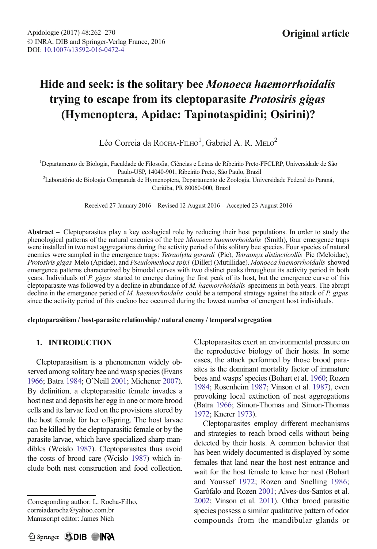# Hide and seek: is the solitary bee Monoeca haemorrhoidalis trying to escape from its cleptoparasite Protosiris gigas (Hymenoptera, Apidae: Tapinotaspidini; Osirini)?

Léo Correia da Rocha-Filho<sup>1</sup>, Gabriel A. R. Melo<sup>2</sup>

1 Departamento de Biologia, Faculdade de Filosofia, Ciências e Letras de Ribeirão Preto-FFCLRP, Universidade de São

Paulo-USP, 14040-901, Ribeirão Preto, São Paulo, Brazil<br><sup>2</sup>Laboratório de Biologia Comparada de Hymenoptera, Departamento de Zoologia, Universidade Federal do Paraná, Curitiba, PR 80060-000, Brazil

Received 27 January 2016 – Revised 12 August 2016 – Accepted 23 August 2016

Abstract – Cleptoparasites play a key ecological role by reducing their host populations. In order to study the phenological patterns of the natural enemies of the bee Monoeca haemorrhoidalis (Smith), four emergence traps were installed in two nest aggregations during the activity period of this solitary bee species. Four species of natural enemies were sampled in the emergence traps: Tetraolytta gerardi (Pic), Tetraonyx distincticollis Pic (Meloidae), Protosiris gigas Melo (Apidae), and Pseudomethoca spixi (Diller) (Mutillidae). Monoeca haemorrhoidalis showed emergence patterns characterized by bimodal curves with two distinct peaks throughout its activity period in both years. Individuals of P. gigas started to emerge during the first peak of its host, but the emergence curve of this cleptoparasite was followed by a decline in abundance of M. haemorrhoidalis specimens in both years. The abrupt decline in the emergence period of M. haemorrhoidalis could be a temporal strategy against the attack of P. gigas since the activity period of this cuckoo bee occurred during the lowest number of emergent host individuals.

#### cleptoparasitism / host-parasite relationship / natural enemy / temporal segregation

# 1. INTRODUCTION

Cleptoparasitism is a phenomenon widely observed among solitary bee and wasp species (Evans [1966](#page-7-0); Batra [1984](#page-7-0); O'Neill [2001](#page-8-0); Michener [2007](#page-7-0)). By definition, a cleptoparasitic female invades a host nest and deposits her egg in one or more brood cells and its larvae feed on the provisions stored by the host female for her offspring. The host larvae can be killed by the cleptoparasitic female or by the parasite larvae, which have specialized sharp mandibles (Wcislo [1987\)](#page-8-0). Cleptoparasites thus avoid the costs of brood care (Wcislo [1987](#page-8-0)) which include both nest construction and food collection.

Corresponding author: L. Rocha-Filho, correiadarocha@yahoo.com.br Manuscript editor: James Nieh

Cleptoparasites exert an environmental pressure on the reproductive biology of their hosts. In some cases, the attack performed by those brood parasites is the dominant mortality factor of immature bees and wasps'species (Bohart et al. [1960](#page-7-0); Rozen [1984](#page-8-0); Rosenheim [1987;](#page-8-0) Vinson et al. [1987](#page-8-0)), even provoking local extinction of nest aggregations (Batra [1966;](#page-7-0) Simon-Thomas and Simon-Thomas [1972](#page-8-0); Knerer [1973\)](#page-7-0).

Cleptoparasites employ different mechanisms and strategies to reach brood cells without being detected by their hosts. A common behavior that has been widely documented is displayed by some females that land near the host nest entrance and wait for the host female to leave her nest (Bohart and Youssef [1972;](#page-7-0) Rozen and Snelling [1986;](#page-8-0) Garófalo and Rozen [2001](#page-7-0); Alves-dos-Santos et al. [2002](#page-7-0); Vinson et al. [2011\)](#page-8-0). Other brood parasitic species possess a similar qualitative pattern of odor compounds from the mandibular glands or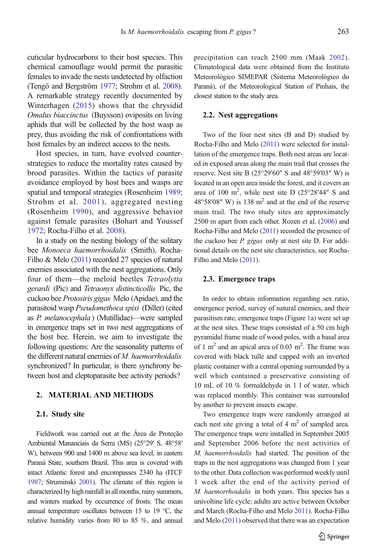cuticular hydrocarbons to their host species. This chemical camouflage would permit the parasitic females to invade the nests undetected by olfaction (Tengö and Bergström [1977](#page-8-0); Strohm et al. [2008](#page-8-0)). A remarkable strategy recently documented by Winterhagen ([2015](#page-8-0)) shows that the chrysidid Omalus biaccinctus (Buysson) oviposits on living aphids that will be collected by the host wasp as prey, thus avoiding the risk of confrontations with host females by an indirect access to the nests.

Host species, in turn, have evolved counterstrategies to reduce the mortality rates caused by brood parasites. Within the tactics of parasite avoidance employed by host bees and wasps are spatial and temporal strategies (Rosenheim [1989](#page-8-0); Strohm et al. [2001\)](#page-8-0), aggregated nesting (Rosenheim [1990](#page-8-0)), and aggressive behavior against female parasites (Bohart and Youssef [1972;](#page-7-0) Rocha-Filho et al. [2008](#page-8-0)).

In a study on the nesting biology of the solitary bee Monoeca haemorrhoidalis (Smith), Rocha-Filho & Melo [\(2011\)](#page-8-0) recorded 27 species of natural enemies associated with the nest aggregations. Only four of them—the meloid beetles Tetraolytta gerardi (Pic) and Tetraonyx distincticollis Pic, the cuckoo bee Protosiris gigas Melo (Apidae), and the parasitoid wasp Pseudomethoca spixi (Diller) (cited as P. melanocephala ) (Mutillidae)—were sampled in emergence traps set in two nest aggregations of the host bee. Herein, we aim to investigate the following questions: Are the seasonality patterns of the different natural enemies of M. haemorrhoidalis synchronized? In particular, is there synchrony between host and cleptoparasite bee activity periods?

## 2. MATERIAL AND METHODS

### 2.1. Study site

Fieldwork was carried out at the Área de Proteção Ambiental Mananciais da Serra (MS) (25°29′ S, 48°58′ W), between 900 and 1400 m above sea level, in eastern Paraná State, southern Brazil. This area is covered with intact Atlantic forest and encompasses 2340 ha (ITCF [1987](#page-7-0); Struminski [2001](#page-8-0)). The climate of this region is characterized by high rainfall in all months, rainy summers, and winters marked by occurrence of frosts. The mean annual temperature oscillates between 15 to 19 °C, the relative humidity varies from 80 to 85 %, and annual

precipitation can reach 2500 mm (Maak [2002](#page-7-0)). Climatological data were obtained from the Instituto Meteorológico SIMEPAR (Sistema Meteorológico do Paraná), of the Meteorological Station of Pinhais, the closest station to the study area.

#### 2.2. Nest aggregations

Two of the four nest sites (B and D) studied by Rocha-Filho and Melo [\(2011\)](#page-8-0) were selected for installation of the emergence traps. Both nest areas are located in exposed areas along the main trail that crosses the reserve. Nest site B (25°29′60″ S and 48°59′03″ W) is located in an open area inside the forest, and it covers an area of 100 m<sup>2</sup>, while nest site D  $(25^{\circ}28'44''$  S and  $48^{\circ}58'08''$  W) is 138 m<sup>2</sup> and at the end of the reserve main trail. The two study sites are approximately 2500 m apart from each other. Rozen et al. [\(2006\)](#page-8-0) and Rocha-Filho and Melo ([2011\)](#page-8-0) recorded the presence of the cuckoo bee P. gigas only at nest site D. For additional details on the nest site characteristics, see Rocha-Filho and Melo [\(2011\)](#page-8-0).

#### 2.3. Emergence traps

In order to obtain information regarding sex ratio, emergence period, survey of natural enemies, and their parasitism rate, emergence traps (Figure [1a](#page-2-0)) were set up at the nest sites. These traps consisted of a 50 cm high pyramidal frame made of wood poles, with a basal area of 1 m<sup>2</sup> and an apical area of 0.03 m<sup>2</sup>. The frame was covered with black tulle and capped with an inverted plastic container with a central opening surrounded by a well which contained a preservative consisting of 10 mL of 10 % formaldehyde in 1 l of water, which was replaced monthly. This container was surrounded by another to prevent insects escape.

Two emergence traps were randomly arranged at each nest site giving a total of 4  $m<sup>2</sup>$  of sampled area. The emergence traps were installed in September 2005 and September 2006 before the nest activities of M. haemorrhoidalis had started. The position of the traps in the nest aggregations was changed from 1 year to the other. Data collection was performed weekly until 1 week after the end of the activity period of M. haemorrhoidalis in both years. This species has a univoltine life cycle; adults are active between October and March (Rocha-Filho and Melo [2011\)](#page-8-0). Rocha-Filho and Melo ([2011\)](#page-8-0) observed that there was an expectation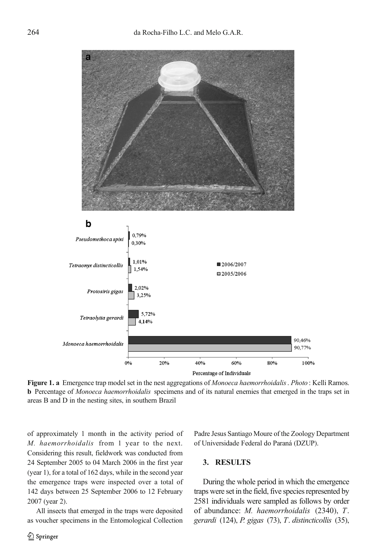<span id="page-2-0"></span>

Figure 1. a Emergence trap model set in the nest aggregations of Monoeca haemorrhoidalis. Photo: Kelli Ramos. b Percentage of Monoeca haemorrhoidalis specimens and of its natural enemies that emerged in the traps set in areas B and D in the nesting sites, in southern Brazil

of approximately 1 month in the activity period of M. haemorrhoidalis from 1 year to the next. Considering this result, fieldwork was conducted from 24 September 2005 to 04 March 2006 in the first year (year 1), for a total of 162 days, while in the second year the emergence traps were inspected over a total of 142 days between 25 September 2006 to 12 February 2007 (year 2).

All insects that emerged in the traps were deposited as voucher specimens in the Entomological Collection Padre Jesus Santiago Moure of the Zoology Department of Universidade Federal do Paraná (DZUP).

## 3. RESULTS

During the whole period in which the emergence traps were set in the field, five species represented by 2581 individuals were sampled as follows by order of abundance: M. haemorrhoidalis (2340), T. gerardi (124), P. gigas (73), T. distincticollis (35),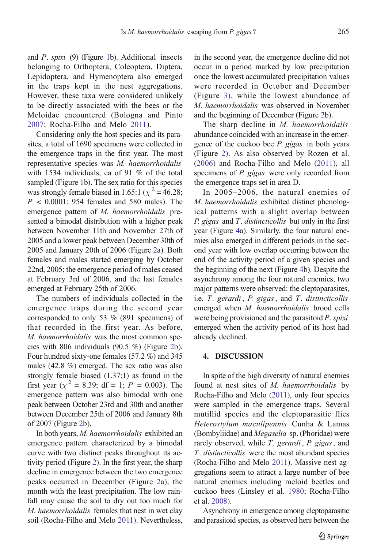and P. spixi (9) (Figure [1](#page-2-0)b). Additional insects belonging to Orthoptera, Coleoptera, Diptera, Lepidoptera, and Hymenoptera also emerged in the traps kept in the nest aggregations. However, these taxa were considered unlikely to be directly associated with the bees or the Meloidae encountered (Bologna and Pinto [2007](#page-7-0); Rocha-Filho and Melo [2011](#page-8-0)).

Considering only the host species and its parasites, a total of 1690 specimens were collected in the emergence traps in the first year. The most representative species was M. haemorrhoidalis with 1534 individuals, ca of 91 % of the total sampled (Figure [1](#page-2-0)b). The sex ratio for this species was strongly female biased in 1.65:1 ( $\chi^2$  = 46.28;  $P < 0.0001$ ; 954 females and 580 males). The emergence pattern of M. haemorrhoidalis presented a bimodal distribution with a higher peak between November 11th and November 27th of 2005 and a lower peak between December 30th of 2005 and January 20th of 2006 (Figure [2](#page-4-0)a). Both females and males started emerging by October 22nd, 2005; the emergence period of males ceased at February 3rd of 2006, and the last females emerged at February 25th of 2006.

The numbers of individuals collected in the emergence traps during the second year corresponded to only 53 % (891 specimens) of that recorded in the first year. As before, M. haemorrhoidalis was the most common species with 806 individuals (90.5 %) (Figure [2](#page-4-0)b). Four hundred sixty-one females (57.2 %) and 345 males (42.8 %) emerged. The sex ratio was also strongly female biased (1.37:1) as found in the first year ( $\chi^2 = 8.39$ ; df = 1; P = 0.003). The emergence pattern was also bimodal with one peak between October 23rd and 30th and another between December 25th of 2006 and January 8th of 2007 (Figure [2](#page-4-0)b).

In both years, M. haemorrhoidalis exhibited an emergence pattern characterized by a bimodal curve with two distinct peaks throughout its activity period (Figure [2\)](#page-4-0). In the first year, the sharp decline in emergence between the two emergence peaks occurred in December (Figure [2a](#page-4-0)), the month with the least precipitation. The low rainfall may cause the soil to dry out too much for M. haemorrhoidalis females that nest in wet clay soil (Rocha-Filho and Melo [2011\)](#page-8-0). Nevertheless, in the second year, the emergence decline did not occur in a period marked by low precipitation once the lowest accumulated precipitation values were recorded in October and December (Figure [3\)](#page-5-0), while the lowest abundance of M. haemorrhoidalis was observed in November and the beginning of December (Figure [2](#page-4-0)b).

The sharp decline in *M. haemorrhoidalis* abundance coincided with an increase in the emergence of the cuckoo bee P. gigas in both years (Figure [2](#page-4-0)). As also observed by Rozen et al. [\(2006\)](#page-8-0) and Rocha-Filho and Melo ([2011\)](#page-8-0), all specimens of *P. gigas* were only recorded from the emergence traps set in area D.

In 2005–2006, the natural enemies of M. haemorrhoidalis exhibited distinct phenological patterns with a slight overlap between P. gigas and  $T$ . distincticollis but only in the first year (Figure [4a](#page-6-0)). Similarly, the four natural enemies also emerged in different periods in the second year with low overlap occurring between the end of the activity period of a given species and the beginning of the next (Figure [4b](#page-6-0)). Despite the asynchrony among the four natural enemies, two major patterns were observed: the cleptoparasites, i.e.  $T.$  gerardi,  $P.$  gigas, and  $T.$  distincticollis emerged when M. haemorrhoidalis brood cells were being provisioned and the parasitoid  $P$ . spixi emerged when the activity period of its host had already declined.

#### 4. DISCUSSION

In spite of the high diversity of natural enemies found at nest sites of M. haemorrhoidalis by Rocha-Filho and Melo [\(2011\)](#page-8-0), only four species were sampled in the emergence traps. Several mutillid species and the cleptoparasitic flies Heterostylum maculipennis Cunha & Lamas (Bombyliidae) and Megaselia sp. (Phoridae) were rarely observed, while T. gerardi, P. gigas, and T. distincticollis were the most abundant species (Rocha-Filho and Melo [2011](#page-8-0)). Massive nest aggregations seem to attract a large number of bee natural enemies including meloid beetles and cuckoo bees (Linsley et al. [1980](#page-7-0); Rocha-Filho et al. [2008](#page-8-0)).

Asynchrony in emergence among cleptoparasitic and parasitoid species, as observed here between the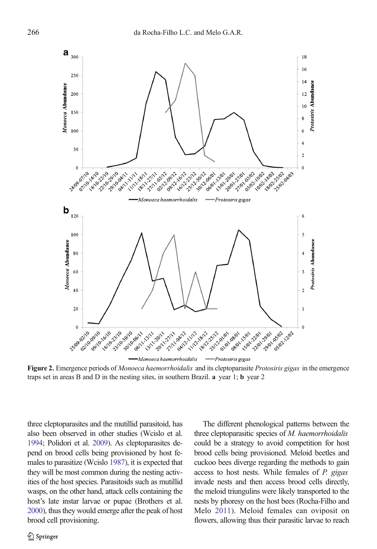<span id="page-4-0"></span>

Figure 2. Emergence periods of Monoeca haemorrhoidalis and its cleptoparasite Protosiris gigas in the emergence traps set in areas B and D in the nesting sites, in southern Brazil. a year 1; b year 2

three cleptoparasites and the mutillid parasitoid, has also been observed in other studies (Wcislo et al. [1994;](#page-8-0) Polidori et al. [2009\)](#page-8-0). As cleptoparasites depend on brood cells being provisioned by host females to parasitize (Wcislo [1987\)](#page-8-0), it is expected that they will be most common during the nesting activities of the host species. Parasitoids such as mutillid wasps, on the other hand, attack cells containing the host's late instar larvae or pupae (Brothers et al. [2000\)](#page-7-0), thus they would emerge after the peak of host brood cell provisioning.

The different phenological patterns between the three cleptoparasitic species of M. haemorrhoidalis could be a strategy to avoid competition for host brood cells being provisioned. Meloid beetles and cuckoo bees diverge regarding the methods to gain access to host nests. While females of P. gigas invade nests and then access brood cells directly, the meloid triungulins were likely transported to the nests by phoresy on the host bees (Rocha-Filho and Melo [2011](#page-8-0)). Meloid females can oviposit on flowers, allowing thus their parasitic larvae to reach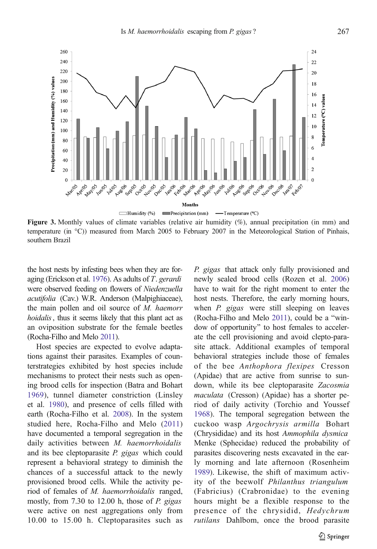<span id="page-5-0"></span>

Figure 3. Monthly values of climate variables (relative air humidity  $(\%)$ , annual precipitation (in mm) and temperature (in °C)) measured from March 2005 to February 2007 in the Meteorological Station of Pinhais, southern Brazil

the host nests by infesting bees when they are foraging (Erickson et al. [1976](#page-7-0)). As adults of T. gerardi were observed feeding on flowers of Niedenzuella acutifolia (Cav.) W.R. Anderson (Malpighiaceae), the main pollen and oil source of M. haemorr hoidalis, thus it seems likely that this plant act as an oviposition substrate for the female beetles (Rocha-Filho and Melo [2011](#page-8-0)).

Host species are expected to evolve adaptations against their parasites. Examples of counterstrategies exhibited by host species include mechanisms to protect their nests such as opening brood cells for inspection (Batra and Bohart [1969\)](#page-7-0), tunnel diameter constriction (Linsley et al. [1980\)](#page-7-0), and presence of cells filled with earth (Rocha-Filho et al. [2008\)](#page-8-0). In the system studied here, Rocha-Filho and Melo [\(2011\)](#page-8-0) have documented a temporal segregation in the daily activities between M. haemorrhoidalis and its bee cleptoparasite *P. gigas* which could represent a behavioral strategy to diminish the chances of a successful attack to the newly provisioned brood cells. While the activity period of females of M. haemorrhoidalis ranged, mostly, from 7.30 to 12.00 h, those of P. gigas were active on nest aggregations only from 10.00 to 15.00 h. Cleptoparasites such as P. gigas that attack only fully provisioned and newly sealed brood cells (Rozen et al. [2006](#page-8-0)) have to wait for the right moment to enter the host nests. Therefore, the early morning hours, when *P. gigas* were still sleeping on leaves (Rocha-Filho and Melo  $2011$ ), could be a "window of opportunity" to host females to accelerate the cell provisioning and avoid clepto-parasite attack. Additional examples of temporal behavioral strategies include those of females of the bee Anthophora flexipes Cresson (Apidae) that are active from sunrise to sundown, while its bee cleptoparasite Zacosmia maculata (Cresson) (Apidae) has a shorter period of daily activity (Torchio and Youssef [1968\)](#page-8-0). The temporal segregation between the cuckoo wasp Argochrysis armilla Bohart (Chrysididae) and its host Ammophila dysmica Menke (Sphecidae) reduced the probability of parasites discovering nests excavated in the early morning and late afternoon (Rosenheim [1989\)](#page-8-0). Likewise, the shift of maximum activity of the beewolf Philanthus triangulum (Fabricius) (Crabronidae) to the evening hours might be a flexible response to the presence of the chrysidid, Hedychrum rutilans Dahlbom, once the brood parasite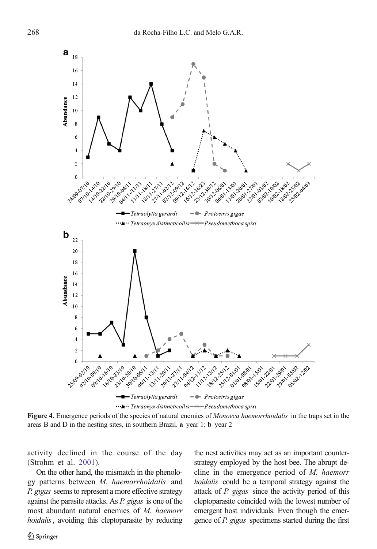<span id="page-6-0"></span>

Figure 4. Emergence periods of the species of natural enemies of *Monoeca haemorrhoidalis* in the traps set in the areas B and D in the nesting sites, in southern Brazil. a year 1; b year 2

activity declined in the course of the day (Strohm et al. [2001](#page-8-0)).

On the other hand, the mismatch in the phenology patterns between M. haemorrhoidalis and P. gigas seems to represent a more effective strategy against the parasite attacks. As P. gigas is one of the most abundant natural enemies of M. haemorr hoidalis, avoiding this cleptoparasite by reducing the nest activities may act as an important counterstrategy employed by the host bee. The abrupt decline in the emergence period of M. haemorr hoidalis could be a temporal strategy against the attack of P. gigas since the activity period of this cleptoparasite coincided with the lowest number of emergent host individuals. Even though the emergence of P. gigas specimens started during the first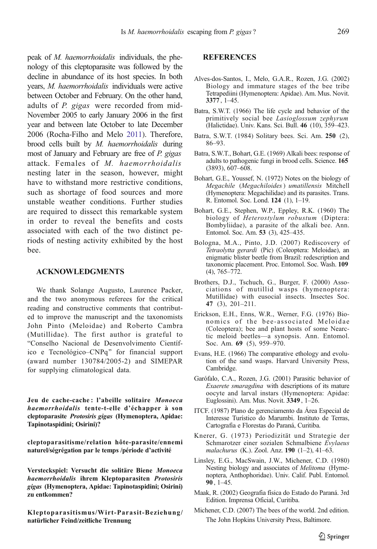<span id="page-7-0"></span>peak of M. haemorrhoidalis individuals, the phenology of this cleptoparasite was followed by the decline in abundance of its host species. In both years, M. haemorrhoidalis individuals were active between October and February. On the other hand, adults of P. gigas were recorded from mid-November 2005 to early January 2006 in the first year and between late October to late December 2006 (Rocha-Filho and Melo [2011](#page-8-0)). Therefore, brood cells built by M. haemorrhoidalis during most of January and February are free of P. gigas attack. Females of M. haemorrhoidalis nesting later in the season, however, might have to withstand more restrictive conditions, such as shortage of food sources and more unstable weather conditions. Further studies are required to dissect this remarkable system in order to reveal the benefits and costs associated with each of the two distinct periods of nesting activity exhibited by the host bee.

## ACKNOWLEDGMENTS

We thank Solange Augusto, Laurence Packer, and the two anonymous referees for the critical reading and constructive comments that contributed to improve the manuscript and the taxonomists John Pinto (Meloidae) and Roberto Cambra (Mutillidae). The first author is grateful to "Conselho Nacional de Desenvolvimento Científico e Tecnológico–CNPq^ for financial support (award number 130784/2005-2) and SIMEPAR for supplying climatological data.

Jeu de cache-cache: l'abeille solitaire Monoeca haemorrhoidalis tente-t-elle d'échapper à son cleptoparasite Protosiris gigas (Hymenoptera, Apidae: Tapinotaspidini; Osirini)?

cleptoparasitisme/relation hôte-parasite/ennemi naturel/ségrégation par le temps /période d'activité

Versteckspiel: Versucht die solitäre Biene Monoeca haemorrhoidalis ihrem Kleptoparasiten Protosiris gigas (Hymenoptera, Apidae: Tapinotaspidini; Osirini) zu entkommen?

Kleptoparasitismus/Wirt-Parasit-Beziehung/ natürlicher Feind/zeitliche Trennung

# **REFERENCES**

- Alves-dos-Santos, I., Melo, G.A.R., Rozen, J.G. (2002) Biology and immature stages of the bee tribe Tetrapediini (Hymenoptera: Apidae). Am. Mus. Novit. 3377 , 1–45.
- Batra, S.W.T. (1966) The life cycle and behavior of the primitively social bee Lasioglossum zephyrum (Halictidae). Univ. Kans. Sci. Bull. 46 (10), 359–423.
- Batra, S.W.T. (1984) Solitary bees. Sci. Am. 250 (2), 86–93.
- Batra, S.W.T., Bohart, G.E. (1969) Alkali bees: response of adults to pathogenic fungi in brood cells. Science. 165 (3893), 607–608.
- Bohart, G.E., Youssef, N. (1972) Notes on the biology of Megachile (Megachiloides) umatillensis Mitchell (Hymenoptera: Megachilidae) and its parasites. Trans. R. Entomol. Soc. Lond. 124 (1), 1–19.
- Bohart, G.E., Stephen, W.P., Eppley, R.K. (1960) The biology of Heterostylum robustum (Diptera: Bombyliidae), a parasite of the alkali bee. Ann. Entomol. Soc. Am. 53 (3), 425–435.
- Bologna, M.A., Pinto, J.D. (2007) Rediscovery of Tetraolytta gerardi (Pic) (Coleoptera: Meloidae), an enigmatic blister beetle from Brazil: redescription and taxonomic placement. Proc. Entomol. Soc. Wash. 109  $(4)$ , 765–772.
- Brothers, D.J., Tschuch, G., Burger, F. (2000) Associations of mutillid wasps (hymenoptera: Mutillidae) with eusocial insects. Insectes Soc. 47 (3), 201–211.
- Erickson, E.H., Enns, W.R., Werner, F.G. (1976) Bionomics of the bee-associated Meloidae (Coleoptera); bee and plant hosts of some Nearctic meloid beetles—a synopsis. Ann. Entomol. Soc. Am. 69 (5), 959–970.
- Evans, H.E. (1966) The comparative ethology and evolution of the sand wasps. Harvard University Press, Cambridge.
- Garófalo, C.A., Rozen, J.G. (2001) Parasitic behavior of Exaerete smaragdina with descriptions of its mature oocyte and larval instars (Hymenoptera: Apidae: Euglossini). Am. Mus. Novit. 3349 , 1–26.
- ITCF. (1987) Plano de gerenciamento da Área Especial de Interesse Turístico do Marumbi. Instituto de Terras, Cartografia e Florestas do Paraná, Curitiba.
- Knerer, G. (1973) Periodizität und Strategie der Schmarotzer einer sozialen Schmalbiene Evylaeus malachurus (K.). Zool. Anz. 190 (1–2), 41–63.
- Linsley, E.G., MacSwain, J.W., Michener, C.D. (1980) Nesting biology and associates of Melitoma (Hymenoptera, Anthophoridae). Univ. Calif. Publ. Entomol.  $90, 1-45.$
- Maak, R. (2002) Geografia física do Estado do Paraná. 3rd Edition. Imprensa Oficial, Curitiba.
- Michener, C.D. (2007) The bees of the world. 2nd edition. The John Hopkins University Press, Baltimore.